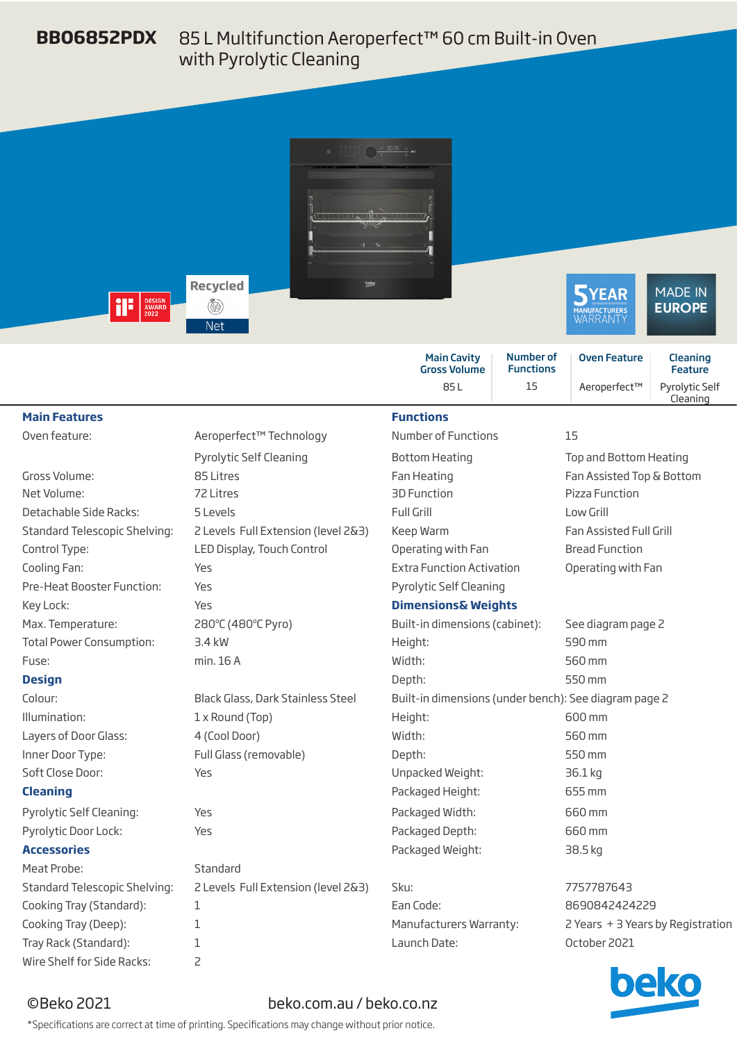## 85 L Multifunction Aeroperfect™ 60 cm Built-in Oven with Pyrolytic Cleaning **BBO6852PDX**



|                                      |                                     | 85L                                                   | 15 | Aeroperfect™                                                                                                                                                                                                                         | Pyrolytic Self<br>Cleaning                                                                                                                                                                                                           |  |
|--------------------------------------|-------------------------------------|-------------------------------------------------------|----|--------------------------------------------------------------------------------------------------------------------------------------------------------------------------------------------------------------------------------------|--------------------------------------------------------------------------------------------------------------------------------------------------------------------------------------------------------------------------------------|--|
| <b>Main Features</b>                 |                                     | <b>Functions</b>                                      |    |                                                                                                                                                                                                                                      |                                                                                                                                                                                                                                      |  |
| Oven feature:                        | Aeroperfect™ Technology             | <b>Number of Functions</b><br>15                      |    |                                                                                                                                                                                                                                      |                                                                                                                                                                                                                                      |  |
|                                      | Pyrolytic Self Cleaning             | <b>Bottom Heating</b><br>Top and Bottom Heating       |    |                                                                                                                                                                                                                                      |                                                                                                                                                                                                                                      |  |
| Gross Volume:                        | 85 Litres                           | Fan Heating                                           |    | Fan Assisted Top & Bottom                                                                                                                                                                                                            |                                                                                                                                                                                                                                      |  |
| Net Volume:                          | 721 itres                           | 3D Function                                           |    | Pizza Function                                                                                                                                                                                                                       |                                                                                                                                                                                                                                      |  |
| Detachable Side Racks:               | 5 Levels                            | <b>Full Grill</b>                                     |    | Low Grill                                                                                                                                                                                                                            |                                                                                                                                                                                                                                      |  |
| <b>Standard Telescopic Shelving:</b> | 2 Levels Full Extension (level 2&3) | Keep Warm                                             |    | Fan Assisted Full Grill                                                                                                                                                                                                              |                                                                                                                                                                                                                                      |  |
| Control Type:                        | LED Display, Touch Control          | Operating with Fan                                    |    | <b>Bread Function</b>                                                                                                                                                                                                                |                                                                                                                                                                                                                                      |  |
| Cooling Fan:                         | Yes                                 | <b>Extra Function Activation</b>                      |    | Operating with Fan                                                                                                                                                                                                                   |                                                                                                                                                                                                                                      |  |
| Pre-Heat Booster Function:           | Yes                                 | Pyrolytic Self Cleaning                               |    |                                                                                                                                                                                                                                      |                                                                                                                                                                                                                                      |  |
| Key Lock:                            | Yes                                 | <b>Dimensions&amp; Weights</b>                        |    |                                                                                                                                                                                                                                      |                                                                                                                                                                                                                                      |  |
| Max. Temperature:                    | 280°C (480°C Pyro)                  | Built-in dimensions (cabinet):                        |    | See diagram page 2                                                                                                                                                                                                                   |                                                                                                                                                                                                                                      |  |
| <b>Total Power Consumption:</b>      | $3.4$ kW                            | Height:                                               |    | 590 mm                                                                                                                                                                                                                               |                                                                                                                                                                                                                                      |  |
| Fuse:                                | min. 16 A                           | Width:                                                |    | 560 mm                                                                                                                                                                                                                               |                                                                                                                                                                                                                                      |  |
| <b>Design</b>                        |                                     | Depth:                                                |    | 550 mm                                                                                                                                                                                                                               |                                                                                                                                                                                                                                      |  |
| Colour:                              | Black Glass, Dark Stainless Steel   | Built-in dimensions (under bench): See diagram page 2 |    |                                                                                                                                                                                                                                      |                                                                                                                                                                                                                                      |  |
| Illumination:                        | 1 x Round (Top)                     | Height:                                               |    | 600 mm                                                                                                                                                                                                                               |                                                                                                                                                                                                                                      |  |
| Layers of Door Glass:                | 4 (Cool Door)                       | Width:                                                |    | 560 mm                                                                                                                                                                                                                               |                                                                                                                                                                                                                                      |  |
| Inner Door Type:                     | Full Glass (removable)              | 550 mm<br>Depth:                                      |    |                                                                                                                                                                                                                                      |                                                                                                                                                                                                                                      |  |
| Soft Close Door:                     | Yes                                 | Unpacked Weight:<br>36.1 kg                           |    |                                                                                                                                                                                                                                      |                                                                                                                                                                                                                                      |  |
| <b>Cleaning</b>                      |                                     | Packaged Height:                                      |    | 655 mm                                                                                                                                                                                                                               |                                                                                                                                                                                                                                      |  |
| Pyrolytic Self Cleaning:             | Yes                                 | Packaged Width:                                       |    | 660 mm                                                                                                                                                                                                                               |                                                                                                                                                                                                                                      |  |
| Pyrolytic Door Lock:                 | Yes                                 | Packaged Depth:                                       |    | 660 mm                                                                                                                                                                                                                               |                                                                                                                                                                                                                                      |  |
| <b>Accessories</b>                   |                                     | Packaged Weight:                                      |    | 38.5 kg                                                                                                                                                                                                                              |                                                                                                                                                                                                                                      |  |
| Meat Probe:                          | Standard                            |                                                       |    |                                                                                                                                                                                                                                      |                                                                                                                                                                                                                                      |  |
| Standard Telescopic Shelving:        | 2 Levels Full Extension (level 2&3) | Sku:                                                  |    | 7757787643                                                                                                                                                                                                                           |                                                                                                                                                                                                                                      |  |
| Cooking Tray (Standard):             | 1                                   | Ean Code:                                             |    | 8690842424229                                                                                                                                                                                                                        |                                                                                                                                                                                                                                      |  |
| Cooking Tray (Deep):                 | 1                                   | Manufacturers Warranty:                               |    | 2 Years + 3 Years by Registration                                                                                                                                                                                                    |                                                                                                                                                                                                                                      |  |
| Tray Rack (Standard):                | 1                                   | Launch Date:                                          |    | October 2021                                                                                                                                                                                                                         |                                                                                                                                                                                                                                      |  |
| Wire Shelf for Side Racks:           | $\overline{c}$                      |                                                       |    | <b>The Contract of the Contract of the Contract of the Contract of the Contract of the Contract of the Contract of the Contract of the Contract of the Contract of the Contract of the Contract of The Contract of The Contract </b> | <b>The Contract of the Contract of the Contract of the Contract of the Contract of the Contract of the Contract of the Contract of the Contract of The Contract of The Contract of The Contract of The Contract of The Contract </b> |  |

oeko

## ©Beko 2021 beko.com.au / beko.co.nz

\*Specifications are correct at time of printing. Specifications may change without prior notice.